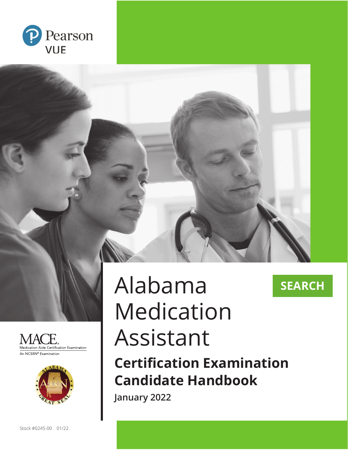







# Alabama Medication Assistant

**Certification Examination Candidate Handbook**

**SEARCH**

**January 2022**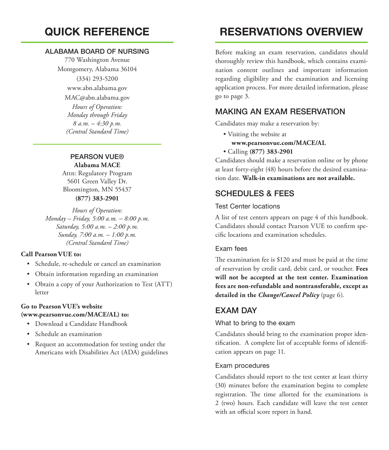# **QUICK REFERENCE**

#### ALABAMA BOARD OF NURSING

770 Washington Avenue Montgomery, Alabama 36104 (334) 293-5200 www.abn.alabama.gov MAC@abn.alabama.gov *Hours of Operation: Monday through Friday 8 a.m. – 4:30 p.m. (Central Standard Time)*

#### PEARSON VUE® **Alabama MACE**

Attn: Regulatory Program 5601 Green Valley Dr. Bloomington, MN 55437 **(877) 383-2901**

*Hours of Operation: Monday – Friday, 5:00 a.m. – 8:00 p.m. Saturday, 5:00 a.m. – 2:00 p.m. Sunday, 7:00 a.m. – 1:00 p.m. (Central Standard Time)*

#### **Call Pearson VUE to:**

- Schedule, re-schedule or cancel an examination
- Obtain information regarding an examination
- Obtain a copy of your Authorization to Test (ATT) letter

#### **Go to Pearson VUE's website (www.pearsonvue.com/MACE/AL) to:**

- Download a Candidate Handbook
- Schedule an examination
- Request an accommodation for testing under the Americans with Disabilities Act (ADA) guidelines

# **RESERVATIONS OVERVIEW**

Before making an exam reservation, candidates should thoroughly review this handbook, which contains examination content outlines and important information regarding eligibility and the examination and licensing application process. For more detailed information, please go to page 3.

## MAKING AN EXAM RESERVATION

Candidates may make a reservation by:

• Visiting the website at

#### **www.pearsonvue.com/MACE/AL**

• Calling **(877) 383-2901**

Candidates should make a reservation online or by phone at least forty-eight (48) hours before the desired examination date. **Walk-in examinations are not available.**

# SCHEDULES & FEES

#### Test Center locations

A list of test centers appears on page 4 of this handbook. Candidates should contact Pearson VUE to confirm specific locations and examination schedules.

#### Exam fees

The examination fee is \$120 and must be paid at the time of reservation by credit card, debit card, or voucher. **Fees will not be accepted at the test center. Examination fees are non-refundable and nontransferable, except as detailed in the** *Change/Cancel Policy* (page 6).

## EXAM DAY

#### What to bring to the exam

Candidates should bring to the examination proper identification. A complete list of acceptable forms of identification appears on page 11.

#### Exam procedures

Candidates should report to the test center at least thirty (30) minutes before the examination begins to complete registration. The time allotted for the examinations is 2 (two) hours. Each candidate will leave the test center with an official score report in hand.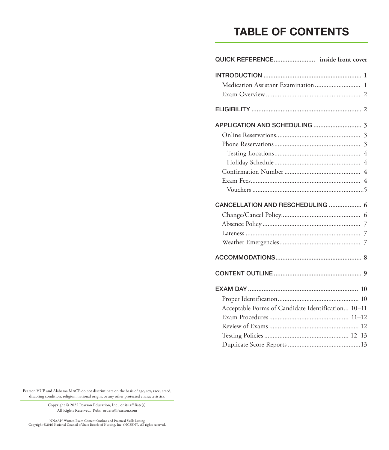# **TABLE OF CONTENTS**

| Medication Assistant Examination  1                |
|----------------------------------------------------|
|                                                    |
| $\overline{4}$<br>CANCELLATION AND RESCHEDULING  6 |
|                                                    |
|                                                    |
|                                                    |
| Acceptable Forms of Candidate Identification 10-11 |
|                                                    |

Pearson VUE and Alabama MACE do not discriminate on the basis of age, sex, race, creed, disabling condition, religion, national origin, or any other protected characteristics.

> Copyright © 2022 Pearson Education, Inc., or its affiliate(s). All Rights Reserved. Pubs\_orders@Pearson.com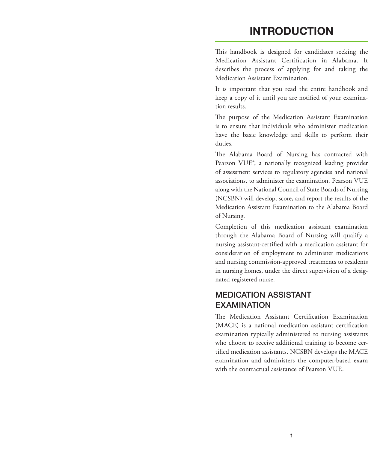# **INTRODUCTION**

This handbook is designed for candidates seeking the Medication Assistant Certification in Alabama. It describes the process of applying for and taking the Medication Assistant Examination.

It is important that you read the entire handbook and keep a copy of it until you are notified of your examination results.

The purpose of the Medication Assistant Examination is to ensure that individuals who administer medication have the basic knowledge and skills to perform their duties.

The Alabama Board of Nursing has contracted with Pearson VUE®, a nationally recognized leading provider of assessment services to regulatory agencies and national associations, to administer the examination. Pearson VUE along with the National Council of State Boards of Nursing (NCSBN) will develop, score, and report the results of the Medication Assistant Examination to the Alabama Board of Nursing.

Completion of this medication assistant examination through the Alabama Board of Nursing will qualify a nursing assistant-certified with a medication assistant for consideration of employment to administer medications and nursing commission-approved treatments to residents in nursing homes, under the direct supervision of a designated registered nurse.

## MEDICATION ASSISTANT EXAMINATION

The Medication Assistant Certification Examination (MACE) is a national medication assistant certification examination typically administered to nursing assistants who choose to receive additional training to become certified medication assistants. NCSBN develops the MACE examination and administers the computer-based exam with the contractual assistance of Pearson VUE.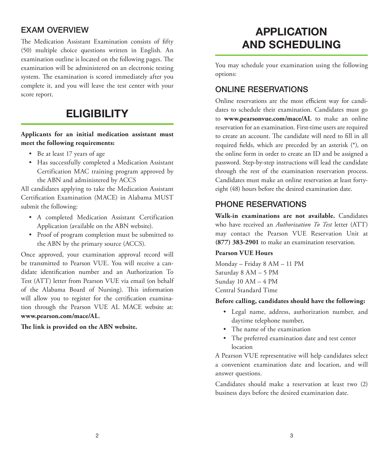## EXAM OVERVIEW

The Medication Assistant Examination consists of fifty (50) multiple choice questions written in English. An examination outline is located on the following pages. The examination will be administered on an electronic testing system. The examination is scored immediately after you complete it, and you will leave the test center with your score report.

# **ELIGIBILITY**

#### **Applicants for an initial medication assistant must meet the following requirements:**

- Be at least 17 years of age
- Has successfully completed a Medication Assistant Certification MAC training program approved by the ABN and administered by ACCS

All candidates applying to take the Medication Assistant Certification Examination (MACE) in Alabama MUST submit the following:

- A completed Medication Assistant Certification Application (available on the ABN website).
- Proof of program completion must be submitted to the ABN by the primary source (ACCS).

Once approved, your examination approval record will be transmitted to Pearson VUE. You will receive a candidate identification number and an Authorization To Test (ATT) letter from Pearson VUE via email (on behalf of the Alabama Board of Nursing). This information will allow you to register for the certification examination through the Pearson VUE AL MACE website at: **www.pearson.com/mace/AL**.

**The link is provided on the ABN website.**

# **APPLICATION AND SCHEDULING**

You may schedule your examination using the following options:

### ONLINE RESERVATIONS

Online reservations are the most efficient way for candidates to schedule their examination. Candidates must go to **www.pearsonvue.com/mace/AL** to make an online reservation for an examination. First-time users are required to create an account. The candidate will need to fill in all required fields, which are preceded by an asterisk (\*), on the online form in order to create an ID and be assigned a password. Step-by-step instructions will lead the candidate through the rest of the examination reservation process. Candidates must make an online reservation at least fortyeight (48) hours before the desired examination date.

## PHONE RESERVATIONS

**Walk-in examinations are not available.** Candidates who have received an *Authorization To Test* letter (ATT) may contact the Pearson VUE Reservation Unit at **(877) 383-2901** to make an examination reservation.

#### **Pearson VUE Hours**

Monday – Friday 8 AM – 11 PM Saturday 8 AM – 5 PM Sunday 10 AM – 4 PM Central Standard Time

#### **Before calling, candidates should have the following:**

- Legal name, address, authorization number, and daytime telephone number,
- The name of the examination
- The preferred examination date and test center location

A Pearson VUE representative will help candidates select a convenient examination date and location, and will answer questions.

Candidates should make a reservation at least two (2) business days before the desired examination date.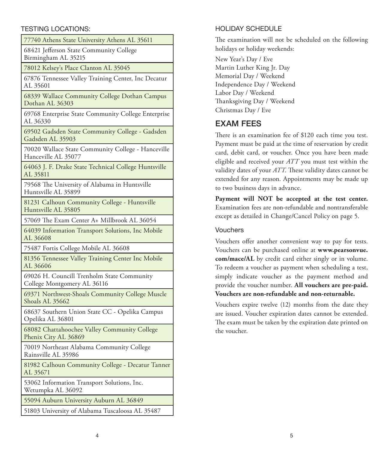#### TESTING LOCATIONS:

77740 Athens State University Athens AL 35611 68421 Jefferson State Community College Birmingham AL 35215 78012 Kelsey's Place Clanton AL 35045 67876 Tennessee Valley Training Center, Inc Decatur AL 35601 68339 Wallace Community College Dothan Campus Dothan AL 36303 69768 Enterprise State Community College Enterprise AL 36330 69502 Gadsden State Community College - Gadsden Gadsden AL 35903 70020 Wallace State Community College - Hanceville Hanceville AL 35077 64063 J. F. Drake State Technical College Huntsville AL 35811 79568 The University of Alabama in Huntsville Huntsville AL 35899 81231 Calhoun Community College - Huntsville Huntsville AL 35805 57069 The Exam Center A+ Millbrook AL 36054 64039 Information Transport Solutions, Inc Mobile AL 36608 75487 Fortis College Mobile AL 36608 81356 Tennessee Valley Training Center Inc Mobile AL 36606 69026 H. Councill Trenholm State Community College Montgomery AL 36116 69371 Northwest-Shoals Community College Muscle Shoals AL 35662 68637 Southern Union State CC - Opelika Campus Opelika AL 36801 68082 Chattahoochee Valley Community College Phenix City AL 36869 70019 Northeast Alabama Community College Rainsville AL 35986 81982 Calhoun Community College - Decatur Tanner AL 35671 53062 Information Transport Solutions, Inc. Wetumpka AL 36092 55094 Auburn University Auburn AL 36849 51803 University of Alabama Tuscaloosa AL 35487

#### HOLIDAY SCHEDULE

The examination will not be scheduled on the following holidays or holiday weekends:

New Year's Day / Eve Martin Luther King Jr. Day Memorial Day / Weekend Independence Day / Weekend Labor Day / Weekend Thanksgiving Day / Weekend Christmas Day / Eve

# EXAM FEES

There is an examination fee of \$120 each time you test. Payment must be paid at the time of reservation by credit card, debit card, or voucher. Once you have been made eligible and received your *ATT* you must test within the validity dates of your *ATT*. These validity dates cannot be extended for any reason. Appointments may be made up to two business days in advance.

**Payment will NOT be accepted at the test center.**  Examination fees are non-refundable and nontransferable except as detailed in Change/Cancel Policy on page 5.

#### Vouchers

Vouchers offer another convenient way to pay for tests. Vouchers can be purchased online at **www.pearsonvue. com/mace/AL** by credit card either singly or in volume. To redeem a voucher as payment when scheduling a test, simply indicate voucher as the payment method and provide the voucher number. **All vouchers are pre-paid. Vouchers are non-refundable and non-returnable.**

Vouchers expire twelve (12) months from the date they are issued. Voucher expiration dates cannot be extended. The exam must be taken by the expiration date printed on the voucher.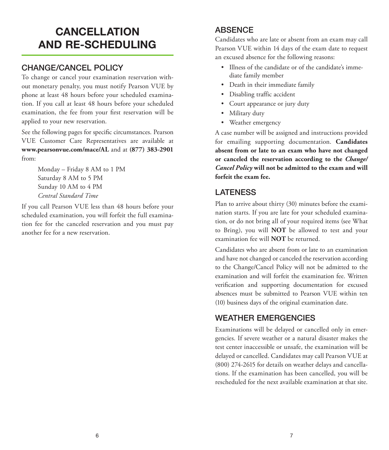# **CANCELLATION AND RE-SCHEDULING**

## CHANGE/CANCEL POLICY

To change or cancel your examination reservation without monetary penalty, you must notify Pearson VUE by phone at least 48 hours before your scheduled examination. If you call at least 48 hours before your scheduled examination, the fee from your first reservation will be applied to your new reservation.

See the following pages for specific circumstances. Pearson VUE Customer Care Representatives are available at **www.pearsonvue.com/mace/AL** and at **(877) 383-2901** from:

> Monday – Friday 8 AM to 1 PM Saturday 8 AM to 5 PM Sunday 10 AM to 4 PM *Central Standard Time*

If you call Pearson VUE less than 48 hours before your scheduled examination, you will forfeit the full examination fee for the canceled reservation and you must pay another fee for a new reservation.

# ABSENCE

Candidates who are late or absent from an exam may call Pearson VUE within 14 days of the exam date to request an excused absence for the following reasons:

- Illness of the candidate or of the candidate's immediate family member
- Death in their immediate family
- Disabling traffic accident
- Court appearance or jury duty
- Military duty
- Weather emergency

A case number will be assigned and instructions provided for emailing supporting documentation. **Candidates absent from or late to an exam who have not changed or canceled the reservation according to the** *Change/ Cancel Policy* **will not be admitted to the exam and will forfeit the exam fee.**

# LATENESS

Plan to arrive about thirty (30) minutes before the examination starts. If you are late for your scheduled examination, or do not bring all of your required items (see What to Bring), you will **NOT** be allowed to test and your examination fee will **NOT** be returned.

Candidates who are absent from or late to an examination and have not changed or canceled the reservation according to the Change/Cancel Policy will not be admitted to the examination and will forfeit the examination fee. Written verification and supporting documentation for excused absences must be submitted to Pearson VUE within ten (10) business days of the original examination date.

# WEATHER EMERGENCIES

Examinations will be delayed or cancelled only in emergencies. If severe weather or a natural disaster makes the test center inaccessible or unsafe, the examination will be delayed or cancelled. Candidates may call Pearson VUE at (800) 274-2615 for details on weather delays and cancellations. If the examination has been cancelled, you will be rescheduled for the next available examination at that site.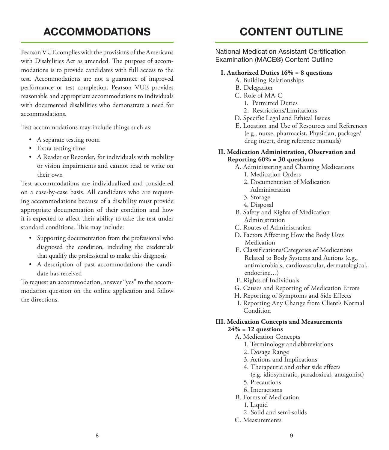# **ACCOMMODATIONS**

Pearson VUE complies with the provisions of the Americans with Disabilities Act as amended. The purpose of accommodations is to provide candidates with full access to the test. Accommodations are not a guarantee of improved performance or test completion. Pearson VUE provides reasonable and appropriate accommodations to individuals with documented disabilities who demonstrate a need for accommodations.

Test accommodations may include things such as:

- A separate testing room
- Extra testing time
- A Reader or Recorder, for individuals with mobility or vision impairments and cannot read or write on their own

Test accommodations are individualized and considered on a case-by-case basis. All candidates who are requesting accommodations because of a disability must provide appropriate documentation of their condition and how it is expected to affect their ability to take the test under standard conditions. This may include:

- Supporting documentation from the professional who diagnosed the condition, including the credentials that qualify the professional to make this diagnosis
- A description of past accommodations the candidate has received

To request an accommodation, answer "yes" to the accommodation question on the online application and follow the directions.

# **CONTENT OUTLINE**

National Medication Assistant Certification Examination (MACE®) Content Outline

#### **I. Authorized Duties 16% = 8 questions**

- A. Building Relationships
- B. Delegation
- C. Role of MA-C
	- 1. Permitted Duties
	- 2. Restrictions/Limitations
- D. Specific Legal and Ethical Issues
- E. Location and Use of Resources and References (e.g., nurse, pharmacist, Physician, package/ drug insert, drug reference manuals)

#### **II. Medication Administration, Observation and Reporting 60% = 30 questions**

- A. Administering and Charting Medications 1. Medication Orders
	- 2. Documentation of Medication Administration
	- 3. Storage
	- 4. Disposal
- B. Safety and Rights of Medication Administration
- C. Routes of Administration
- D. Factors Affecting How the Body Uses Medication
- E. Classifications/Categories of Medications Related to Body Systems and Actions (e.g., antimicrobials, cardiovascular, dermatological, endocrine…)
- F. Rights of Individuals
- G. Causes and Reporting of Medication Errors
- H. Reporting of Symptoms and Side Effects
- I. Reporting Any Change from Client's Normal Condition

#### **III. Medication Concepts and Measurements 24% = 12 questions**

- - A. Medication Concepts
		- 1. Terminology and abbreviations
		- 2. Dosage Range
		- 3. Actions and Implications
		- 4. Therapeutic and other side effects
		- (e.g. idiosyncratic, paradoxical, antagonist)
		- 5. Precautions
		- 6. Interactions
	- B. Forms of Medication
		- 1. Liquid
		- 2. Solid and semi-solids
	- C. Measurements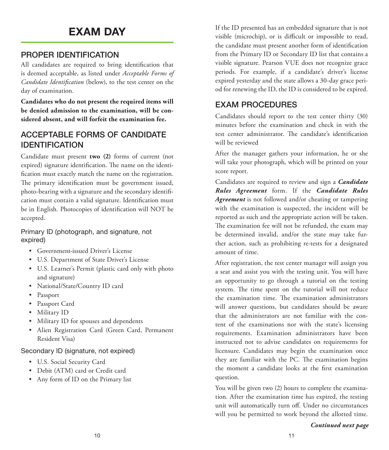# **EXAM DAY**

# PROPER IDENTIFICATION

All candidates are required to bring identification that is deemed acceptable, as listed under *Acceptable Forms of Candidate Identification* (below), to the test center on the day of examination.

**Candidates who do not present the required items will be denied admission to the examination, will be considered absent, and will forfeit the examination fee.**

# ACCEPTABLE FORMS OF CANDIDATE IDENTIFICATION

Candidate must present **two (2)** forms of current (not expired) signature identification. The name on the identification must exactly match the name on the registration. The primary identification must be government issued, photo-bearing with a signature and the secondary identification must contain a valid signature. Identification must be in English. Photocopies of identification will NOT be accepted.

Primary ID (photograph, and signature, not expired)

- Government-issued Driver's License
- U.S. Department of State Driver's License
- U.S. Learner's Permit (plastic card only with photo and signature)
- National/State/Country ID card
- Passport
- Passport Card
- Military ID
- Military ID for spouses and dependents
- Alien Registration Card (Green Card, Permanent Resident Visa)

#### Secondary ID (signature, not expired)

- U.S. Social Security Card
- Debit (ATM) card or Credit card
- Any form of ID on the Primary list

If the ID presented has an embedded signature that is not visible (microchip), or is difficult or impossible to read, the candidate must present another form of identification from the Primary ID or Secondary ID list that contains a visible signature. Pearson VUE does not recognize grace periods. For example, if a candidate's driver's license expired yesterday and the state allows a 30-day grace period for renewing the ID, the ID is considered to be expired.

## EXAM PROCEDURES

Candidates should report to the test center thirty (30) minutes before the examination and check in with the test center administrator. The candidate's identification will be reviewed

After the manager gathers your information, he or she will take your photograph, which will be printed on your score report.

Candidates are required to review and sign a *Candidate Rules Agreement* form. If the *Candidate Rules Agreement* is not followed and/or cheating or tampering with the examination is suspected, the incident will be reported as such and the appropriate action will be taken. The examination fee will not be refunded, the exam may be determined invalid, and/or the state may take further action, such as prohibiting re-tests for a designated amount of time.

After registration, the test center manager will assign you a seat and assist you with the testing unit. You will have an opportunity to go through a tutorial on the testing system. The time spent on the tutorial will not reduce the examination time. The examination administrators will answer questions, but candidates should be aware that the administrators are not familiar with the content of the examinations nor with the state's licensing requirements. Examination administrators have been instructed not to advise candidates on requirements for licensure. Candidates may begin the examination once they are familiar with the PC. The examination begins the moment a candidate looks at the first examination question.

You will be given two (2) hours to complete the examination. After the examination time has expired, the testing unit will automatically turn off. Under no circumstances will you be permitted to work beyond the allotted time.

*Continued next page*